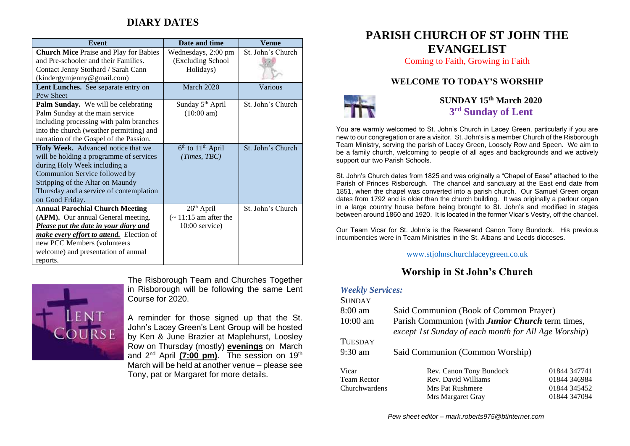## **DIARY DATES**

| <b>Event</b>                                    | Date and time                | Venue             |
|-------------------------------------------------|------------------------------|-------------------|
| <b>Church Mice Praise and Play for Babies</b>   | Wednesdays, 2:00 pm          | St. John's Church |
| and Pre-schooler and their Families.            | (Excluding School            |                   |
| Contact Jenny Stothard / Sarah Cann             | Holidays)                    |                   |
| (kindergymjenny@gmail.com)                      |                              |                   |
| Lent Lunches. See separate entry on             | March 2020                   | Various           |
| Pew Sheet                                       |                              |                   |
| Palm Sunday. We will be celebrating             | Sunday 5 <sup>th</sup> April | St. John's Church |
| Palm Sunday at the main service                 | $(10:00 \text{ am})$         |                   |
| including processing with palm branches         |                              |                   |
| into the church (weather permitting) and        |                              |                   |
| narration of the Gospel of the Passion.         |                              |                   |
| Holy Week. Advanced notice that we              | $6th$ to $11th$ April        | St. John's Church |
| will be holding a programme of services         | (Times, TBC)                 |                   |
| during Holy Week including a                    |                              |                   |
| Communion Service followed by                   |                              |                   |
| Stripping of the Altar on Maundy                |                              |                   |
| Thursday and a service of contemplation         |                              |                   |
| on Good Friday.                                 |                              |                   |
| <b>Annual Parochial Church Meeting</b>          | $26th$ April                 | St. John's Church |
| (APM). Our annual General meeting.              | $\sim$ 11:15 am after the    |                   |
| Please put the date in your diary and           | $10:00$ service)             |                   |
| <i>make every effort to attend.</i> Election of |                              |                   |
| new PCC Members (volunteers                     |                              |                   |
| welcome) and presentation of annual             |                              |                   |
| reports.                                        |                              |                   |



The Risborough Team and Churches Together in Risborough will be following the same Lent Course for 2020.

A reminder for those signed up that the St. John's Lacey Green's Lent Group will be hosted by Ken & June Brazier at Maplehurst, Loosley Row on Thursday (mostly) **evenings** on March and 2<sup>nd</sup> April (7:00 pm). The session on 19<sup>th</sup> March will be held at another venue – please see Tony, pat or Margaret for more details.

## **PARISH CHURCH OF ST JOHN THE EVANGELIST**

Coming to Faith, Growing in Faith

#### **WELCOME TO TODAY'S WORSHIP**



**SUNDAY 15th March 2020 3 rd Sunday of Lent**

You are warmly welcomed to St. John's Church in Lacey Green, particularly if you are new to our congregation or are a visitor. St. John's is a member Church of the Risborough Team Ministry, serving the parish of Lacey Green, Loosely Row and Speen. We aim to be a family church, welcoming to people of all ages and backgrounds and we actively support our two Parish Schools.

St. John's Church dates from 1825 and was originally a "Chapel of Ease" attached to the Parish of Princes Risborough. The chancel and sanctuary at the East end date from 1851, when the chapel was converted into a parish church. Our Samuel Green organ dates from 1792 and is older than the church building. It was originally a parlour organ in a large country house before being brought to St. John's and modified in stages between around 1860 and 1920. It is located in the former Vicar's Vestry, off the chancel.

Our Team Vicar for St. John's is the Reverend Canon Tony Bundock. His previous incumbencies were in Team Ministries in the St. Albans and Leeds dioceses.

[www.stjohnschurchlaceygreen.co.uk](http://www.stjohnschurchlaceygreen.co.uk/)

### **Worship in St John's Church**

#### *Weekly Services:*  $S = \frac{1}{2}$

| SUNDAY             |                                                                                                                 |              |
|--------------------|-----------------------------------------------------------------------------------------------------------------|--------------|
| $8:00 \text{ am}$  | Said Communion (Book of Common Prayer)                                                                          |              |
| $10:00$ am         | Parish Communion (with <b>Junior Church</b> term times,<br>except 1st Sunday of each month for All Age Worship) |              |
| <b>TUESDAY</b>     |                                                                                                                 |              |
| $9:30$ am          | Said Communion (Common Worship)                                                                                 |              |
| Vicar              | Rev. Canon Tony Bundock                                                                                         | 01844 347741 |
| <b>Team Rector</b> | Rev. David Williams                                                                                             | 01844 346984 |
| Churchwardens      | Mrs Pat Rushmere                                                                                                | 01844 345452 |
|                    | Mrs Margaret Gray                                                                                               | 01844 347094 |